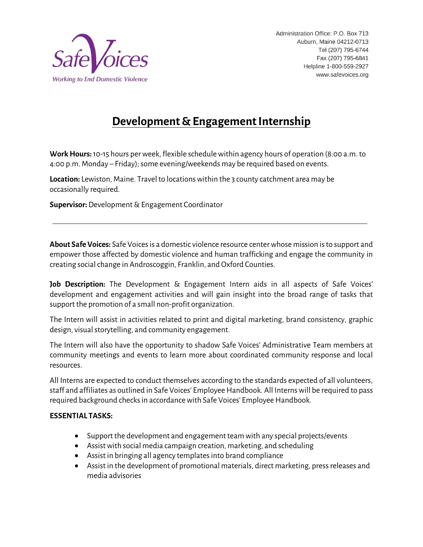

# **Development & Engagement Internship**

**Work Hours:**10-15 hours per week, flexible schedule within agency hours of operation (8:00 a.m. to 4:00 p.m. Monday – Friday);some evening/weekends may be required based on events.

**Location:** Lewiston, Maine. Travel to locationswithin the 3 county catchment area may be occasionally required.

**Supervisor:**Development & Engagement Coordinator

**About Safe Voices:** Safe Voices is a domestic violence resource center whose mission is to support and empower those affected by domestic violence and human trafficking and engage the community in creating social change in Androscoggin, Franklin, and Oxford Counties.

**Job Description:** The Development & Engagement Intern aids in all aspects of Safe Voices' development and engagement activities and will gain insight into the broad range of tasks that support the promotion of a small non-profit organization.

The Intern will assist in activities related to print and digital marketing, brand consistency, graphic design, visual storytelling, and community engagement.

The Intern will also have the opportunity to shadow Safe Voices' Administrative Team members at community meetings and events to learn more about coordinated community response and local resources.

All Interns are expected to conduct themselves according to the standards expected of all volunteers, staff and affiliates as outlined in Safe Voices' Employee Handbook. All Interns will be required to pass required background checks in accordance with Safe Voices' Employee Handbook.

## **ESSENTIAL TASKS:**

- Support the development and engagement team with any special projects/events
- Assist with social media campaign creation, marketing, and scheduling
- Assist in bringing all agency templates into brand compliance
- Assist in the development of promotional materials, direct marketing, press releases and media advisories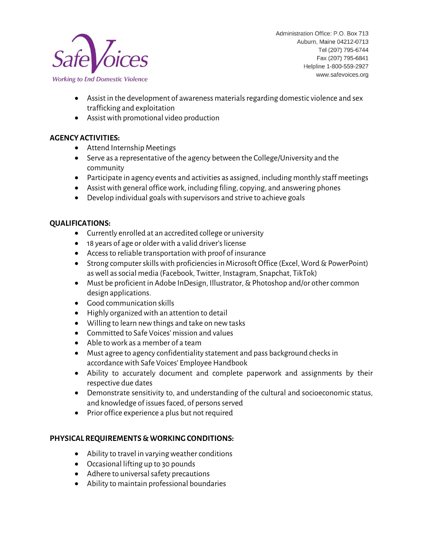

Administration Office: P.O. Box 713 Auburn, Maine 04212-0713 Tel (207) 795-6744 Fax (207) 795-6841 Helpline 1-800-559-2927 www.safevoices.org

- Assist in the development of awareness materials regarding domestic violence and sex trafficking and exploitation
- Assist with promotional video production

## **AGENCY ACTIVITIES:**

- Attend Internship Meetings
- Serve as a representative of the agency between the College/University and the community
- Participate in agency events and activities as assigned, including monthly staff meetings
- Assist with general office work, including filing, copying, and answering phones
- Develop individual goals with supervisors and strive to achieve goals

### **QUALIFICATIONS:**

- Currently enrolled at an accredited college or university
- 18 years of age or older with a valid driver's license
- Access to reliable transportation with proof of insurance
- Strong computer skills with proficiencies in Microsoft Office (Excel, Word & PowerPoint) as well as social media (Facebook, Twitter, Instagram, Snapchat, TikTok)
- Must be proficient in Adobe InDesign, Illustrator, & Photoshop and/or other common design applications.
- Good communication skills
- Highly organized with an attention to detail
- Willing to learn new things and take on new tasks
- Committed to Safe Voices' mission and values
- Able to work as a member of a team
- Must agree to agency confidentiality statement and pass background checks in accordance with Safe Voices' Employee Handbook
- Ability to accurately document and complete paperwork and assignments by their respective due dates
- Demonstrate sensitivity to, and understanding of the cultural and socioeconomic status, and knowledge of issues faced, of persons served
- Prior office experience a plus but not required

## **PHYSICAL REQUIREMENTS & WORKING CONDITIONS:**

- Ability to travel in varying weather conditions
- Occasional lifting up to 30 pounds
- Adhere to universal safety precautions
- Ability to maintain professional boundaries